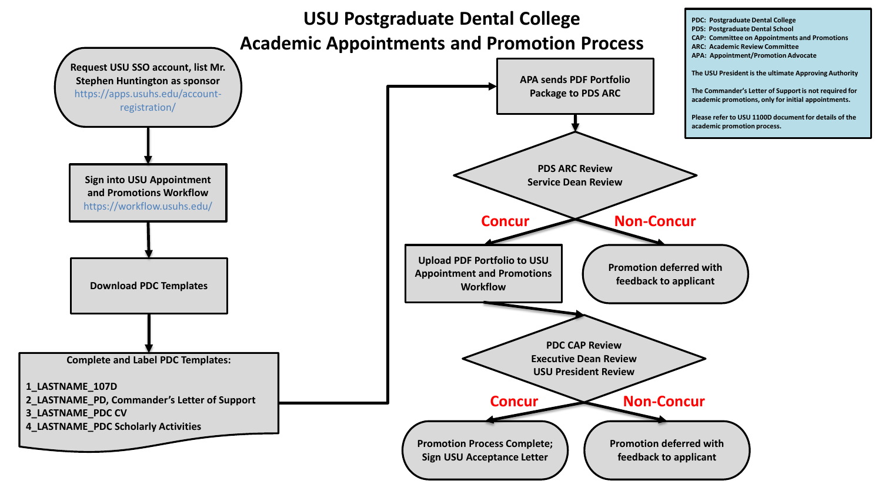